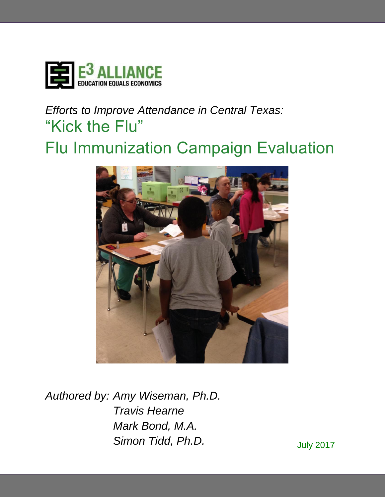

# *Efforts to Improve Attendance in Central Texas:* "Kick the Flu" Flu Immunization Campaign Evaluation



*Authored by: Amy Wiseman, Ph.D. Travis Hearne Mark Bond, M.A.* **Simon Tidd, Ph.D.** July 2017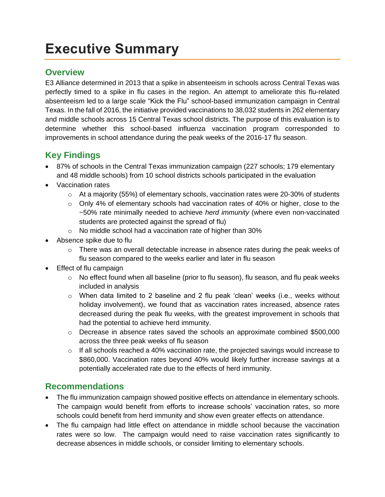## **Executive Summary**

## **Overview**

E3 Alliance determined in 2013 that a spike in absenteeism in schools across Central Texas was perfectly timed to a spike in flu cases in the region. An attempt to ameliorate this flu-related absenteeism led to a large scale "Kick the Flu" school-based immunization campaign in Central Texas. In the fall of 2016, the initiative provided vaccinations to 38,032 students in 262 elementary and middle schools across 15 Central Texas school districts. The purpose of this evaluation is to determine whether this school-based influenza vaccination program corresponded to improvements in school attendance during the peak weeks of the 2016-17 flu season.

## **Key Findings**

- 87% of schools in the Central Texas immunization campaign (227 schools; 179 elementary and 48 middle schools) from 10 school districts schools participated in the evaluation
- Vaccination rates
	- $\circ$  At a majority (55%) of elementary schools, vaccination rates were 20-30% of students
	- o Only 4% of elementary schools had vaccination rates of 40% or higher, close to the ~50% rate minimally needed to achieve *herd immunity* (where even non-vaccinated students are protected against the spread of flu)
	- o No middle school had a vaccination rate of higher than 30%
- Absence spike due to flu
	- $\circ$  There was an overall detectable increase in absence rates during the peak weeks of flu season compared to the weeks earlier and later in flu season
- Effect of flu campaign
	- $\circ$  No effect found when all baseline (prior to flu season), flu season, and flu peak weeks included in analysis
	- o When data limited to 2 baseline and 2 flu peak 'clean' weeks (i.e., weeks without holiday involvement), we found that as vaccination rates increased, absence rates decreased during the peak flu weeks, with the greatest improvement in schools that had the potential to achieve herd immunity.
	- $\circ$  Decrease in absence rates saved the schools an approximate combined \$500,000 across the three peak weeks of flu season
	- $\circ$  If all schools reached a 40% vaccination rate, the projected savings would increase to \$860,000. Vaccination rates beyond 40% would likely further increase savings at a potentially accelerated rate due to the effects of herd immunity.

## **Recommendations**

- The flu immunization campaign showed positive effects on attendance in elementary schools. The campaign would benefit from efforts to increase schools' vaccination rates, so more schools could benefit from herd immunity and show even greater effects on attendance.
- The flu campaign had little effect on attendance in middle school because the vaccination rates were so low. The campaign would need to raise vaccination rates significantly to decrease absences in middle schools, or consider limiting to elementary schools.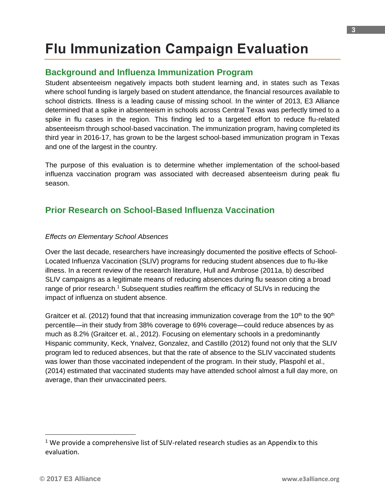## **Flu Immunization Campaign Evaluation**

## **Background and Influenza Immunization Program**

Student absenteeism negatively impacts both student learning and, in states such as Texas where school funding is largely based on student attendance, the financial resources available to school districts. Illness is a leading cause of missing school. In the winter of 2013, E3 Alliance determined that a spike in absenteeism in schools across Central Texas was perfectly timed to a spike in flu cases in the region. This finding led to a targeted effort to reduce flu-related absenteeism through school-based vaccination. The immunization program, having completed its third year in 2016-17, has grown to be the largest school-based immunization program in Texas and one of the largest in the country.

The purpose of this evaluation is to determine whether implementation of the school-based influenza vaccination program was associated with decreased absenteeism during peak flu season.

## **Prior Research on School-Based Influenza Vaccination**

#### *Effects on Elementary School Absences*

Over the last decade, researchers have increasingly documented the positive effects of School-Located Influenza Vaccination (SLIV) programs for reducing student absences due to flu-like illness. In a recent review of the research literature, Hull and Ambrose (2011a, b) described SLIV campaigns as a legitimate means of reducing absences during flu season citing a broad range of prior research.<sup>1</sup> Subsequent studies reaffirm the efficacy of SLIVs in reducing the impact of influenza on student absence.

Graitcer et al. (2012) found that that increasing immunization coverage from the 10<sup>th</sup> to the 90<sup>th</sup> percentile—in their study from 38% coverage to 69% coverage—could reduce absences by as much as 8.2% (Graitcer et. al., 2012). Focusing on elementary schools in a predominantly Hispanic community, Keck, Ynalvez, Gonzalez, and Castillo (2012) found not only that the SLIV program led to reduced absences, but that the rate of absence to the SLIV vaccinated students was lower than those vaccinated independent of the program. In their study, Plaspohl et al., (2014) estimated that vaccinated students may have attended school almost a full day more, on average, than their unvaccinated peers.

l

 $1$  We provide a comprehensive list of SLIV-related research studies as an Appendix to this evaluation.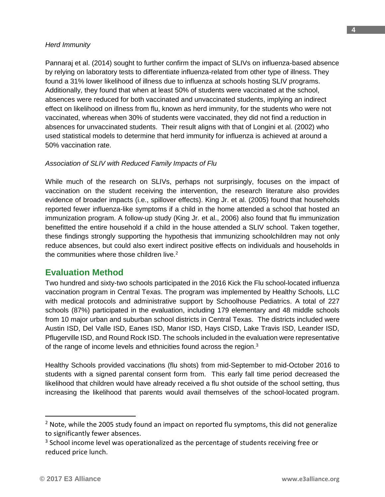#### *Herd Immunity*

Pannaraj et al. (2014) sought to further confirm the impact of SLIVs on influenza-based absence by relying on laboratory tests to differentiate influenza-related from other type of illness. They found a 31% lower likelihood of illness due to influenza at schools hosting SLIV programs. Additionally, they found that when at least 50% of students were vaccinated at the school, absences were reduced for both vaccinated and unvaccinated students, implying an indirect effect on likelihood on illness from flu, known as herd immunity, for the students who were not vaccinated, whereas when 30% of students were vaccinated, they did not find a reduction in absences for unvaccinated students. Their result aligns with that of Longini et al. (2002) who used statistical models to determine that herd immunity for influenza is achieved at around a 50% vaccination rate.

#### *Association of SLIV with Reduced Family Impacts of Flu*

While much of the research on SLIVs, perhaps not surprisingly, focuses on the impact of vaccination on the student receiving the intervention, the research literature also provides evidence of broader impacts (i.e., spillover effects). King Jr. et al. (2005) found that households reported fewer influenza-like symptoms if a child in the home attended a school that hosted an immunization program. A follow-up study (King Jr. et al., 2006) also found that flu immunization benefitted the entire household if a child in the house attended a SLIV school. Taken together, these findings strongly supporting the hypothesis that immunizing schoolchildren may not only reduce absences, but could also exert indirect positive effects on individuals and households in the communities where those children live.<sup>2</sup>

### **Evaluation Method**

Two hundred and sixty-two schools participated in the 2016 Kick the Flu school-located influenza vaccination program in Central Texas. The program was implemented by Healthy Schools, LLC with medical protocols and administrative support by Schoolhouse Pediatrics. A total of 227 schools (87%) participated in the evaluation, including 179 elementary and 48 middle schools from 10 major urban and suburban school districts in Central Texas. The districts included were Austin ISD, Del Valle ISD, Eanes ISD, Manor ISD, Hays CISD, Lake Travis ISD, Leander ISD, Pflugerville ISD, and Round Rock ISD. The schools included in the evaluation were representative of the range of income levels and ethnicities found across the region.<sup>3</sup>

Healthy Schools provided vaccinations (flu shots) from mid-September to mid-October 2016 to students with a signed parental consent form from. This early fall time period decreased the likelihood that children would have already received a flu shot outside of the school setting, thus increasing the likelihood that parents would avail themselves of the school-located program.

l

 $2$  Note, while the 2005 study found an impact on reported flu symptoms, this did not generalize to significantly fewer absences.

 $3$  School income level was operationalized as the percentage of students receiving free or reduced price lunch.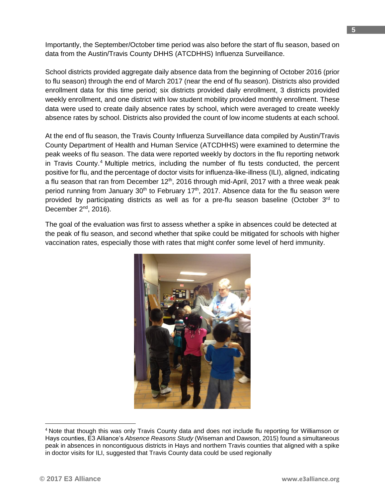Importantly, the September/October time period was also before the start of flu season, based on data from the Austin/Travis County DHHS (ATCDHHS) Influenza Surveillance.

School districts provided aggregate daily absence data from the beginning of October 2016 (prior to flu season) through the end of March 2017 (near the end of flu season). Districts also provided enrollment data for this time period; six districts provided daily enrollment, 3 districts provided weekly enrollment, and one district with low student mobility provided monthly enrollment. These data were used to create daily absence rates by school, which were averaged to create weekly absence rates by school. Districts also provided the count of low income students at each school.

At the end of flu season, the Travis County Influenza Surveillance data compiled by Austin/Travis County Department of Health and Human Service (ATCDHHS) were examined to determine the peak weeks of flu season. The data were reported weekly by doctors in the flu reporting network in Travis County.<sup>4</sup> Multiple metrics, including the number of flu tests conducted, the percent positive for flu, and the percentage of doctor visits for influenza-like-illness (ILI), aligned, indicating a flu season that ran from December  $12<sup>th</sup>$ , 2016 through mid-April, 2017 with a three weak peak period running from January  $30<sup>th</sup>$  to February 17<sup>th</sup>, 2017. Absence data for the flu season were provided by participating districts as well as for a pre-flu season baseline (October  $3<sup>rd</sup>$  to December 2<sup>nd</sup>, 2016).

The goal of the evaluation was first to assess whether a spike in absences could be detected at the peak of flu season, and second whether that spike could be mitigated for schools with higher vaccination rates, especially those with rates that might confer some level of herd immunity.



<sup>4</sup> Note that though this was only Travis County data and does not include flu reporting for Williamson or Hays counties, E3 Alliance's *Absence Reasons Study* (Wiseman and Dawson, 2015) found a simultaneous peak in absences in noncontiguous districts in Hays and northern Travis counties that aligned with a spike in doctor visits for ILI, suggested that Travis County data could be used regionally

 $\overline{a}$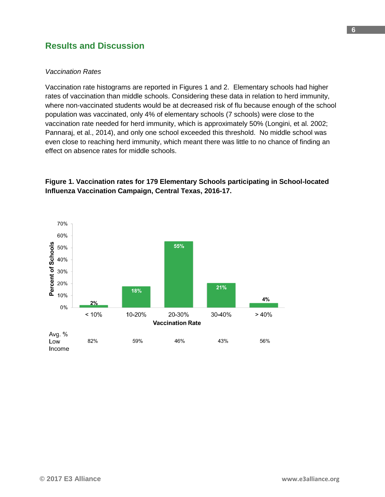## **Results and Discussion**

#### *Vaccination Rates*

Vaccination rate histograms are reported in Figures 1 and 2. Elementary schools had higher rates of vaccination than middle schools. Considering these data in relation to herd immunity, where non-vaccinated students would be at decreased risk of flu because enough of the school population was vaccinated, only 4% of elementary schools (7 schools) were close to the vaccination rate needed for herd immunity, which is approximately 50% (Longini, et al. 2002; Pannaraj, et al., 2014), and only one school exceeded this threshold. No middle school was even close to reaching herd immunity, which meant there was little to no chance of finding an effect on absence rates for middle schools.



#### **Figure 1. Vaccination rates for 179 Elementary Schools participating in School-located Influenza Vaccination Campaign, Central Texas, 2016-17.**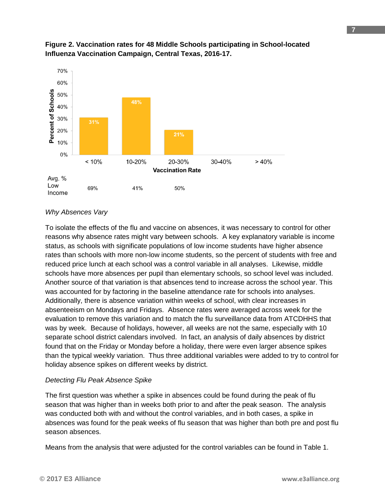

#### **Figure 2. Vaccination rates for 48 Middle Schools participating in School-located Influenza Vaccination Campaign, Central Texas, 2016-17.**

#### *Why Absences Vary*

To isolate the effects of the flu and vaccine on absences, it was necessary to control for other reasons why absence rates might vary between schools. A key explanatory variable is income status, as schools with significate populations of low income students have higher absence rates than schools with more non-low income students, so the percent of students with free and reduced price lunch at each school was a control variable in all analyses. Likewise, middle schools have more absences per pupil than elementary schools, so school level was included. Another source of that variation is that absences tend to increase across the school year. This was accounted for by factoring in the baseline attendance rate for schools into analyses. Additionally, there is absence variation within weeks of school, with clear increases in absenteeism on Mondays and Fridays. Absence rates were averaged across week for the evaluation to remove this variation and to match the flu surveillance data from ATCDHHS that was by week. Because of holidays, however, all weeks are not the same, especially with 10 separate school district calendars involved. In fact, an analysis of daily absences by district found that on the Friday or Monday before a holiday, there were even larger absence spikes than the typical weekly variation. Thus three additional variables were added to try to control for holiday absence spikes on different weeks by district.

#### *Detecting Flu Peak Absence Spike*

The first question was whether a spike in absences could be found during the peak of flu season that was higher than in weeks both prior to and after the peak season. The analysis was conducted both with and without the control variables, and in both cases, a spike in absences was found for the peak weeks of flu season that was higher than both pre and post flu season absences.

Means from the analysis that were adjusted for the control variables can be found in Table 1.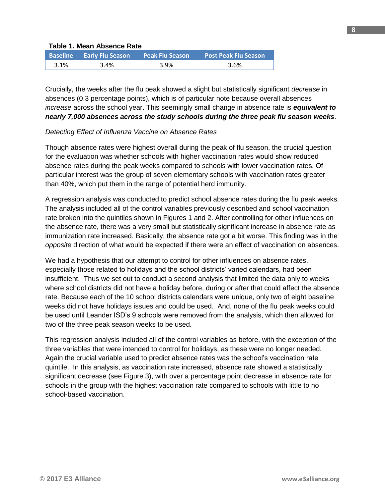#### **Table 1. Mean Absence Rate**

|      | Baseline Early Flu Season | <b>Peak Flu Season</b> | <b>Post Peak Flu Season</b> |
|------|---------------------------|------------------------|-----------------------------|
| 3.1% | 3.4%                      | 3.9%                   | 3.6%                        |

Crucially, the weeks after the flu peak showed a slight but statistically significant *decrease* in absences (0.3 percentage points), which is of particular note because overall absences *increase* across the school year. This seemingly small change in absence rate is *equivalent to nearly 7,000 absences across the study schools during the three peak flu season weeks*.

#### *Detecting Effect of Influenza Vaccine on Absence Rates*

Though absence rates were highest overall during the peak of flu season, the crucial question for the evaluation was whether schools with higher vaccination rates would show reduced absence rates during the peak weeks compared to schools with lower vaccination rates. Of particular interest was the group of seven elementary schools with vaccination rates greater than 40%, which put them in the range of potential herd immunity.

A regression analysis was conducted to predict school absence rates during the flu peak weeks. The analysis included all of the control variables previously described and school vaccination rate broken into the quintiles shown in Figures 1 and 2. After controlling for other influences on the absence rate, there was a very small but statistically significant increase in absence rate as immunization rate increased. Basically, the absence rate got a bit worse. This finding was in the *opposite* direction of what would be expected if there were an effect of vaccination on absences.

We had a hypothesis that our attempt to control for other influences on absence rates, especially those related to holidays and the school districts' varied calendars, had been insufficient. Thus we set out to conduct a second analysis that limited the data only to weeks where school districts did not have a holiday before, during or after that could affect the absence rate. Because each of the 10 school districts calendars were unique, only two of eight baseline weeks did not have holidays issues and could be used. And, none of the flu peak weeks could be used until Leander ISD's 9 schools were removed from the analysis, which then allowed for two of the three peak season weeks to be used.

This regression analysis included all of the control variables as before, with the exception of the three variables that were intended to control for holidays, as these were no longer needed. Again the crucial variable used to predict absence rates was the school's vaccination rate quintile. In this analysis, as vaccination rate increased, absence rate showed a statistically significant decrease (see Figure 3), with over a percentage point decrease in absence rate for schools in the group with the highest vaccination rate compared to schools with little to no school-based vaccination.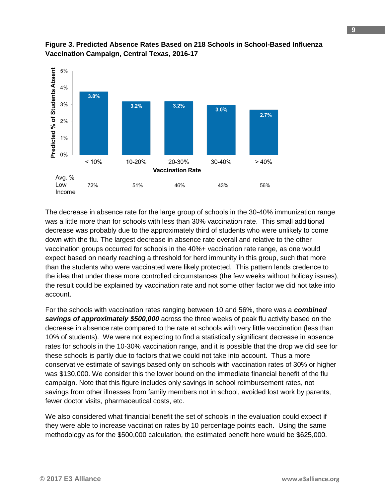

#### **Figure 3. Predicted Absence Rates Based on 218 Schools in School-Based Influenza Vaccination Campaign, Central Texas, 2016-17**

The decrease in absence rate for the large group of schools in the 30-40% immunization range was a little more than for schools with less than 30% vaccination rate. This small additional decrease was probably due to the approximately third of students who were unlikely to come down with the flu. The largest decrease in absence rate overall and relative to the other vaccination groups occurred for schools in the 40%+ vaccination rate range, as one would expect based on nearly reaching a threshold for herd immunity in this group, such that more than the students who were vaccinated were likely protected. This pattern lends credence to the idea that under these more controlled circumstances (the few weeks without holiday issues), the result could be explained by vaccination rate and not some other factor we did not take into account.

For the schools with vaccination rates ranging between 10 and 56%, there was a *combined savings of approximately \$500,000* across the three weeks of peak flu activity based on the decrease in absence rate compared to the rate at schools with very little vaccination (less than 10% of students). We were not expecting to find a statistically significant decrease in absence rates for schools in the 10-30% vaccination range, and it is possible that the drop we did see for these schools is partly due to factors that we could not take into account. Thus a more conservative estimate of savings based only on schools with vaccination rates of 30% or higher was \$130,000. We consider this the lower bound on the immediate financial benefit of the flu campaign. Note that this figure includes only savings in school reimbursement rates, not savings from other illnesses from family members not in school, avoided lost work by parents, fewer doctor visits, pharmaceutical costs, etc.

We also considered what financial benefit the set of schools in the evaluation could expect if they were able to increase vaccination rates by 10 percentage points each. Using the same methodology as for the \$500,000 calculation, the estimated benefit here would be \$625,000.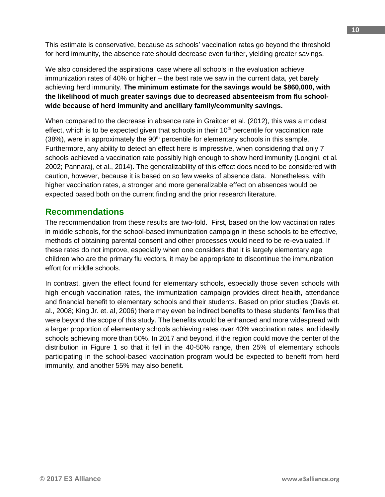This estimate is conservative, because as schools' vaccination rates go beyond the threshold for herd immunity, the absence rate should decrease even further, yielding greater savings.

We also considered the aspirational case where all schools in the evaluation achieve immunization rates of 40% or higher – the best rate we saw in the current data, yet barely achieving herd immunity. **The minimum estimate for the savings would be \$860,000, with the likelihood of much greater savings due to decreased absenteeism from flu schoolwide because of herd immunity and ancillary family/community savings.**

When compared to the decrease in absence rate in Graitcer et al. (2012), this was a modest effect, which is to be expected given that schools in their  $10<sup>th</sup>$  percentile for vaccination rate  $(38%)$ , were in approximately the  $90<sup>th</sup>$  percentile for elementary schools in this sample. Furthermore, any ability to detect an effect here is impressive, when considering that only 7 schools achieved a vaccination rate possibly high enough to show herd immunity (Longini, et al. 2002; Pannaraj, et al., 2014). The generalizability of this effect does need to be considered with caution, however, because it is based on so few weeks of absence data. Nonetheless, with higher vaccination rates, a stronger and more generalizable effect on absences would be expected based both on the current finding and the prior research literature.

### **Recommendations**

The recommendation from these results are two-fold. First, based on the low vaccination rates in middle schools, for the school-based immunization campaign in these schools to be effective, methods of obtaining parental consent and other processes would need to be re-evaluated. If these rates do not improve, especially when one considers that it is largely elementary age children who are the primary flu vectors, it may be appropriate to discontinue the immunization effort for middle schools.

In contrast, given the effect found for elementary schools, especially those seven schools with high enough vaccination rates, the immunization campaign provides direct health, attendance and financial benefit to elementary schools and their students. Based on prior studies (Davis et. al., 2008; King Jr. et. al, 2006) there may even be indirect benefits to these students' families that were beyond the scope of this study. The benefits would be enhanced and more widespread with a larger proportion of elementary schools achieving rates over 40% vaccination rates, and ideally schools achieving more than 50%. In 2017 and beyond, if the region could move the center of the distribution in Figure 1 so that it fell in the 40-50% range, then 25% of elementary schools participating in the school-based vaccination program would be expected to benefit from herd immunity, and another 55% may also benefit.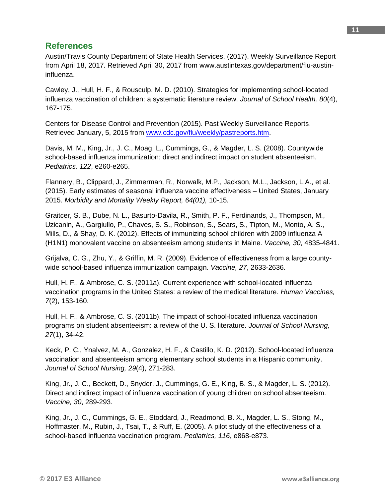## **References**

Austin/Travis County Department of State Health Services. (2017). Weekly Surveillance Report from April 18, 2017. Retrieved April 30, 2017 from www.austintexas.gov/department/flu-austininfluenza.

Cawley, J., Hull, H. F., & Rousculp, M. D. (2010). Strategies for implementing school-located influenza vaccination of children: a systematic literature review. *Journal of School Health, 80*(4), 167-175.

Centers for Disease Control and Prevention (2015). Past Weekly Surveillance Reports. Retrieved January, 5, 2015 from [www.cdc.gov/flu/weekly/pastreports.htm.](http://www.cdc.gov/flu/weekly/pastreports.htm)

Davis, M. M., King, Jr., J. C., Moag, L., Cummings, G., & Magder, L. S. (2008). Countywide school-based influenza immunization: direct and indirect impact on student absenteeism. *Pediatrics, 122*, e260-e265.

Flannery, B., Clippard, J., Zimmerman, R., Norwalk, M.P., Jackson, M.L., Jackson, L.A., et al. (2015). Early estimates of seasonal influenza vaccine effectiveness – United States, January 2015. *Morbidity and Mortality Weekly Report, 64(01),* 10-15.

Graitcer, S. B., Dube, N. L., Basurto-Davila, R., Smith, P. F., Ferdinands, J., Thompson, M., Uzicanin, A., Gargiullo, P., Chaves, S. S., Robinson, S., Sears, S., Tipton, M., Monto, A. S., Mills, D., & Shay, D. K. (2012). Effects of immunizing school children with 2009 influenza A (H1N1) monovalent vaccine on absenteeism among students in Maine. *Vaccine, 30*, 4835-4841.

Grijalva, C. G., Zhu, Y., & Griffin, M. R. (2009). Evidence of effectiveness from a large countywide school-based influenza immunization campaign. *Vaccine, 27*, 2633-2636.

Hull, H. F., & Ambrose, C. S. (2011a). Current experience with school-located influenza vaccination programs in the United States: a review of the medical literature. *Human Vaccines, 7*(2), 153-160.

Hull, H. F., & Ambrose, C. S. (2011b). The impact of school-located influenza vaccination programs on student absenteeism: a review of the U. S. literature. *Journal of School Nursing, 27*(1), 34-42.

Keck, P. C., Ynalvez, M. A., Gonzalez, H. F., & Castillo, K. D. (2012). School-located influenza vaccination and absenteeism among elementary school students in a Hispanic community. *Journal of School Nursing, 29*(4), 271-283.

King, Jr., J. C., Beckett, D., Snyder, J., Cummings, G. E., King, B. S., & Magder, L. S. (2012). Direct and indirect impact of influenza vaccination of young children on school absenteeism. *Vaccine, 30*, 289-293.

King, Jr., J. C., Cummings, G. E., Stoddard, J., Readmond, B. X., Magder, L. S., Stong, M., Hoffmaster, M., Rubin, J., Tsai, T., & Ruff, E. (2005). A pilot study of the effectiveness of a school-based influenza vaccination program. *Pediatrics, 116*, e868-e873.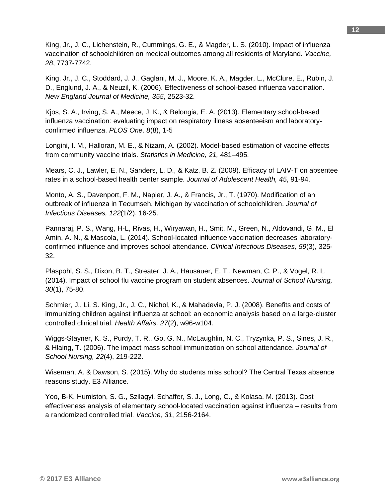King, Jr., J. C., Lichenstein, R., Cummings, G. E., & Magder, L. S. (2010). Impact of influenza vaccination of schoolchildren on medical outcomes among all residents of Maryland. *Vaccine, 28*, 7737-7742.

King, Jr., J. C., Stoddard, J. J., Gaglani, M. J., Moore, K. A., Magder, L., McClure, E., Rubin, J. D., Englund, J. A., & Neuzil, K. (2006). Effectiveness of school-based influenza vaccination. *New England Journal of Medicine, 355*, 2523-32.

Kjos, S. A., Irving, S. A., Meece, J. K., & Belongia, E. A. (2013). Elementary school-based influenza vaccination: evaluating impact on respiratory illness absenteeism and laboratoryconfirmed influenza. *PLOS One, 8*(8), 1-5

Longini, I. M., Halloran, M. E., & Nizam, A. (2002). Model-based estimation of vaccine effects from community vaccine trials. *Statistics in Medicine, 21,* 481–495.

Mears, C. J., Lawler, E. N., Sanders, L. D., & Katz, B. Z. (2009). Efficacy of LAIV-T on absentee rates in a school-based health center sample. *Journal of Adolescent Health, 45*, 91-94.

Monto, A. S., Davenport, F. M., Napier, J. A., & Francis, Jr., T. (1970). Modification of an outbreak of influenza in Tecumseh, Michigan by vaccination of schoolchildren. *Journal of Infectious Diseases, 122*(1/2), 16-25.

Pannaraj, P. S., Wang, H-L, Rivas, H., Wiryawan, H., Smit, M., Green, N., Aldovandi, G. M., El Amin, A. N., & Mascola, L. (2014). School-located influence vaccination decreases laboratoryconfirmed influence and improves school attendance. *Clinical Infectious Diseases, 59*(3), 325- 32.

Plaspohl, S. S., Dixon, B. T., Streater, J. A., Hausauer, E. T., Newman, C. P., & Vogel, R. L. (2014). Impact of school flu vaccine program on student absences. *Journal of School Nursing, 30*(1), 75-80.

Schmier, J., Li, S. King, Jr., J. C., Nichol, K., & Mahadevia, P. J. (2008). Benefits and costs of immunizing children against influenza at school: an economic analysis based on a large-cluster controlled clinical trial. *Health Affairs, 27*(2), w96-w104.

Wiggs-Stayner, K. S., Purdy, T. R., Go, G. N., McLaughlin, N. C., Tryzynka, P. S., Sines, J. R., & Hlaing, T. (2006). The impact mass school immunization on school attendance. *Journal of School Nursing, 22*(4), 219-222.

Wiseman, A. & Dawson, S. (2015). Why do students miss school? The Central Texas absence reasons study. E3 Alliance.

Yoo, B-K, Humiston, S. G., Szilagyi, Schaffer, S. J., Long, C., & Kolasa, M. (2013). Cost effectiveness analysis of elementary school-located vaccination against influenza – results from a randomized controlled trial. *Vaccine, 31*, 2156-2164.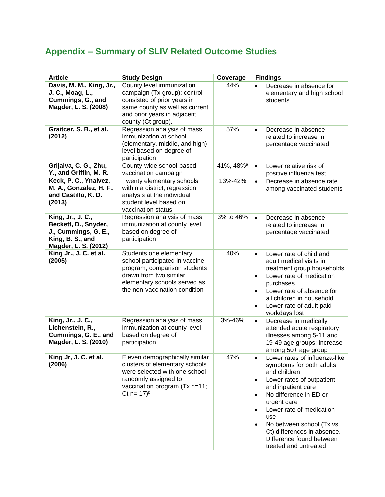## **Appendix – Summary of SLIV Related Outcome Studies**

| <b>Article</b>                                                                                                | <b>Study Design</b>                                                                                                                                                                    | Coverage              | <b>Findings</b>                                                                                                                                                                                                                                                                                                                                                               |
|---------------------------------------------------------------------------------------------------------------|----------------------------------------------------------------------------------------------------------------------------------------------------------------------------------------|-----------------------|-------------------------------------------------------------------------------------------------------------------------------------------------------------------------------------------------------------------------------------------------------------------------------------------------------------------------------------------------------------------------------|
| Davis, M. M., King, Jr.,<br>J. C., Moag, L.,<br>Cummings, G., and<br>Magder, L. S. (2008)                     | County level immunization<br>campaign (Tx group); control<br>consisted of prior years in<br>same county as well as current<br>and prior years in adjacent<br>county (Ct group).        | 44%                   | Decrease in absence for<br>elementary and high school<br>students                                                                                                                                                                                                                                                                                                             |
| Graitcer, S. B., et al.<br>(2012)                                                                             | Regression analysis of mass<br>immunization at school<br>(elementary, middle, and high)<br>level based on degree of<br>participation                                                   | 57%                   | Decrease in absence<br>$\bullet$<br>related to increase in<br>percentage vaccinated                                                                                                                                                                                                                                                                                           |
| Grijalva, C. G., Zhu,<br>Y., and Griffin, M. R.                                                               | County-wide school-based<br>vaccination campaign                                                                                                                                       | 41%, 48% <sup>a</sup> | $\bullet$<br>Lower relative risk of<br>positive influenza test                                                                                                                                                                                                                                                                                                                |
| Keck, P. C., Ynalvez,<br>M. A., Gonzalez, H. F.,<br>and Castillo, K. D.<br>(2013)                             | Twenty elementary schools<br>within a district; regression<br>analysis at the individual<br>student level based on<br>vaccination status.                                              | 13%-42%               | Decrease in absence rate<br>$\bullet$<br>among vaccinated students                                                                                                                                                                                                                                                                                                            |
| King, Jr., J. C.,<br>Beckett, D., Snyder,<br>J., Cummings, G. E.,<br>King, B. S., and<br>Magder, L. S. (2012) | Regression analysis of mass<br>immunization at county level<br>based on degree of<br>participation                                                                                     | 3% to 46%             | $\bullet$<br>Decrease in absence<br>related to increase in<br>percentage vaccinated                                                                                                                                                                                                                                                                                           |
| King Jr., J. C. et al.<br>(2005)                                                                              | Students one elementary<br>school participated in vaccine<br>program; comparison students<br>drawn from two similar<br>elementary schools served as<br>the non-vaccination condition   | 40%                   | Lower rate of child and<br>$\bullet$<br>adult medical visits in<br>treatment group households<br>Lower rate of medication<br>$\bullet$<br>purchases<br>Lower rate of absence for<br>$\bullet$<br>all children in household<br>Lower rate of adult paid<br>$\bullet$<br>workdays lost                                                                                          |
| King, Jr., J. C.,<br>Lichenstein, R.,<br>Cummings, G. E., and<br>Magder, L. S. (2010)                         | Regression analysis of mass<br>immunization at county level<br>based on degree of<br>participation                                                                                     | 3%-46%                | Decrease in medically<br>$\bullet$<br>attended acute respiratory<br>illnesses among 5-11 and<br>19-49 age groups; increase<br>among 50+ age group                                                                                                                                                                                                                             |
| King Jr, J. C. et al.<br>(2006)                                                                               | Eleven demographically similar<br>clusters of elementary schools<br>were selected with one school<br>randomly assigned to<br>vaccination program (Tx n=11;<br>Ct $n = 17$ <sup>b</sup> | 47%                   | Lower rates of influenza-like<br>symptoms for both adults<br>and children<br>Lower rates of outpatient<br>$\bullet$<br>and inpatient care<br>No difference in ED or<br>$\bullet$<br>urgent care<br>Lower rate of medication<br>$\bullet$<br>use<br>No between school (Tx vs.<br>$\bullet$<br>Ct) differences in absence.<br>Difference found between<br>treated and untreated |